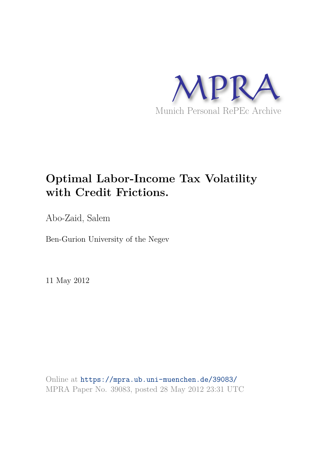

# **Optimal Labor-Income Tax Volatility with Credit Frictions.**

Abo-Zaid, Salem

Ben-Gurion University of the Negev

11 May 2012

Online at https://mpra.ub.uni-muenchen.de/39083/ MPRA Paper No. 39083, posted 28 May 2012 23:31 UTC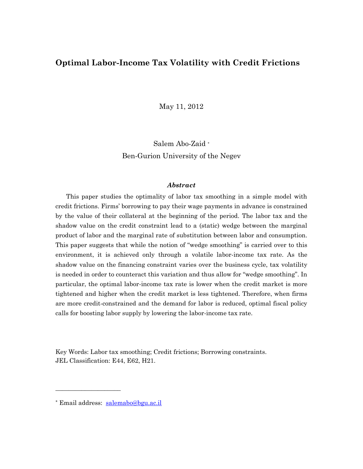# **Optimal Labor-Income Tax Volatility with Credit Frictions**

May 11, 2012

Salem Abo-Zaid \* Ben-Gurion University of the Negev

#### *Abstract*

This paper studies the optimality of labor tax smoothing in a simple model with credit frictions. Firms' borrowing to pay their wage payments in advance is constrained by the value of their collateral at the beginning of the period. The labor tax and the shadow value on the credit constraint lead to a (static) wedge between the marginal product of labor and the marginal rate of substitution between labor and consumption. This paper suggests that while the notion of "wedge smoothing" is carried over to this environment, it is achieved only through a volatile labor-income tax rate. As the shadow value on the financing constraint varies over the business cycle, tax volatility is needed in order to counteract this variation and thus allow for "wedge smoothing". In particular, the optimal labor-income tax rate is lower when the credit market is more tightened and higher when the credit market is less tightened. Therefore, when firms are more credit-constrained and the demand for labor is reduced, optimal fiscal policy calls for boosting labor supply by lowering the labor-income tax rate.

Key Words: Labor tax smoothing; Credit frictions; Borrowing constraints. JEL Classification: E44, E62, H21.

\_\_\_\_\_\_\_\_\_\_\_\_\_\_\_\_\_\_\_\_

<sup>\*</sup> Email address: [salemabo@bgu.ac.il](mailto:salemabo@bgu.ac.il)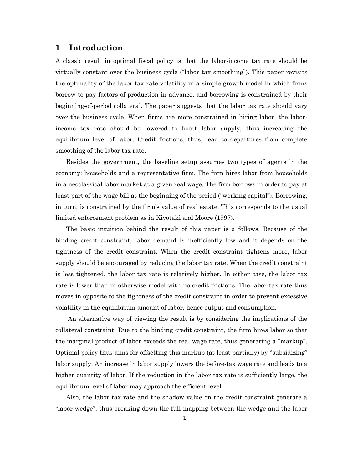## **1 Introduction**

A classic result in optimal fiscal policy is that the labor-income tax rate should be virtually constant over the business cycle ("labor tax smoothing"). This paper revisits the optimality of the labor tax rate volatility in a simple growth model in which firms borrow to pay factors of production in advance, and borrowing is constrained by their beginning-of-period collateral. The paper suggests that the labor tax rate should vary over the business cycle. When firms are more constrained in hiring labor, the laborincome tax rate should be lowered to boost labor supply, thus increasing the equilibrium level of labor. Credit frictions, thus, lead to departures from complete smoothing of the labor tax rate.

Besides the government, the baseline setup assumes two types of agents in the economy: households and a representative firm. The firm hires labor from households in a neoclassical labor market at a given real wage. The firm borrows in order to pay at least part of the wage bill at the beginning of the period ("working capital"). Borrowing, in turn, is constrained by the firm's value of real estate. This corresponds to the usual limited enforcement problem as in Kiyotaki and Moore (1997).

The basic intuition behind the result of this paper is a follows. Because of the binding credit constraint, labor demand is inefficiently low and it depends on the tightness of the credit constraint. When the credit constraint tightens more, labor supply should be encouraged by reducing the labor tax rate. When the credit constraint is less tightened, the labor tax rate is relatively higher. In either case, the labor tax rate is lower than in otherwise model with no credit frictions. The labor tax rate thus moves in opposite to the tightness of the credit constraint in order to prevent excessive volatility in the equilibrium amount of labor, hence output and consumption.

 An alternative way of viewing the result is by considering the implications of the collateral constraint. Due to the binding credit constraint, the firm hires labor so that the marginal product of labor exceeds the real wage rate, thus generating a "markup". Optimal policy thus aims for offsetting this markup (at least partially) by "subsidizing" labor supply. An increase in labor supply lowers the before-tax wage rate and leads to a higher quantity of labor. If the reduction in the labor tax rate is sufficiently large, the equilibrium level of labor may approach the efficient level.

Also, the labor tax rate and the shadow value on the credit constraint generate a "labor wedge", thus breaking down the full mapping between the wedge and the labor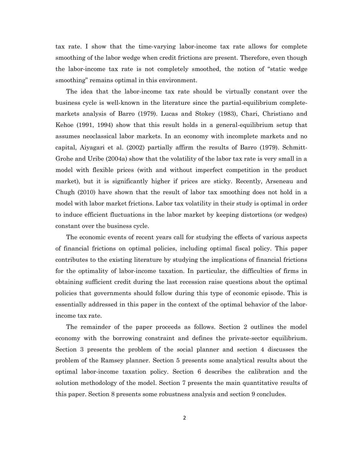tax rate. I show that the time-varying labor-income tax rate allows for complete smoothing of the labor wedge when credit frictions are present. Therefore, even though the labor-income tax rate is not completely smoothed, the notion of "static wedge smoothing" remains optimal in this environment.

The idea that the labor-income tax rate should be virtually constant over the business cycle is well-known in the literature since the partial-equilibrium completemarkets analysis of Barro (1979). Lucas and Stokey (1983), Chari, Christiano and Kehoe (1991, 1994) show that this result holds in a general-equilibrium setup that assumes neoclassical labor markets. In an economy with incomplete markets and no capital, Aiyagari et al. (2002) partially affirm the results of Barro (1979). Schmitt-Grohe and Uribe (2004a) show that the volatility of the labor tax rate is very small in a model with flexible prices (with and without imperfect competition in the product market), but it is significantly higher if prices are sticky. Recently, Arseneau and Chugh (2010) have shown that the result of labor tax smoothing does not hold in a model with labor market frictions. Labor tax volatility in their study is optimal in order to induce efficient fluctuations in the labor market by keeping distortions (or wedges) constant over the business cycle.

The economic events of recent years call for studying the effects of various aspects of financial frictions on optimal policies, including optimal fiscal policy. This paper contributes to the existing literature by studying the implications of financial frictions for the optimality of labor-income taxation. In particular, the difficulties of firms in obtaining sufficient credit during the last recession raise questions about the optimal policies that governments should follow during this type of economic episode. This is essentially addressed in this paper in the context of the optimal behavior of the laborincome tax rate.

The remainder of the paper proceeds as follows. Section 2 outlines the model economy with the borrowing constraint and defines the private-sector equilibrium. Section 3 presents the problem of the social planner and section 4 discusses the problem of the Ramsey planner. Section 5 presents some analytical results about the optimal labor-income taxation policy. Section 6 describes the calibration and the solution methodology of the model. Section 7 presents the main quantitative results of this paper. Section 8 presents some robustness analysis and section 9 concludes.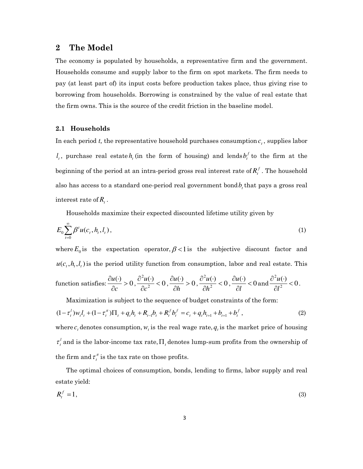## **2 The Model**

The economy is populated by households, a representative firm and the government. Households consume and supply labor to the firm on spot markets. The firm needs to pay (at least part of) its input costs before production takes place, thus giving rise to borrowing from households. Borrowing is constrained by the value of real estate that the firm owns. This is the source of the credit friction in the baseline model.

#### **2.1 Households**

In each period *t*, the representative household purchases consumption  $c_t$ , supplies labor  $l_t$ , purchase real estate  $h_t$  (in the form of housing) and lends  $b_t$ <sup>f</sup> to the firm at the beginning of the period at an intra-period gross real interest rate of  $R_t^f$  . The household also has access to a standard one-period real government bond  $b<sub>i</sub>$ , that pays a gross real interest rate of  $R_t$ .

Households maximize their expected discounted lifetime utility given by

$$
E_0 \sum_{t=0}^{\infty} \beta^t u(c_t, h_t, l_t), \qquad (1)
$$

where  $E_0$  is the expectation operator,  $\beta < 1$  is the subjective discount factor and  $u(c_t, h_t, l_t)$  is the period utility function from consumption, labor and real estate. This

function satisfies: 
$$
\frac{\partial u(\cdot)}{\partial c} > 0
$$
,  $\frac{\partial^2 u(\cdot)}{\partial c^2} < 0$ ,  $\frac{\partial u(\cdot)}{\partial h} > 0$ ,  $\frac{\partial^2 u(\cdot)}{\partial h^2} < 0$ ,  $\frac{\partial u(\cdot)}{\partial l} < 0$  and  $\frac{\partial^2 u(\cdot)}{\partial l^2} < 0$ .

Maximization is subject to the sequence of budget constraints of the form:

$$
(1 - \tau_t^l) w_t l_t + (1 - \tau_t^{\pi}) \Pi_t + q_t h_t + R_{t-1} b_t + R_t^{\{f\}} b_t^{\{f\}} = c_t + q_t h_{t+1} + b_{t+1} + b_t^{\{f\}},
$$
\n<sup>(2)</sup>

where  $c_t$  denotes consumption,  $w_t$  is the real wage rate,  $q_t$  is the market price of housing *l*  $\tau_t^l$  and is the labor-income tax rate,  $\Pi_t$  denotes lump-sum profits from the ownership of the firm and  $\tau_t^{\pi}$  is the tax rate on those profits.

The optimal choices of consumption, bonds, lending to firms, labor supply and real estate yield:

$$
R_t^f = 1,\tag{3}
$$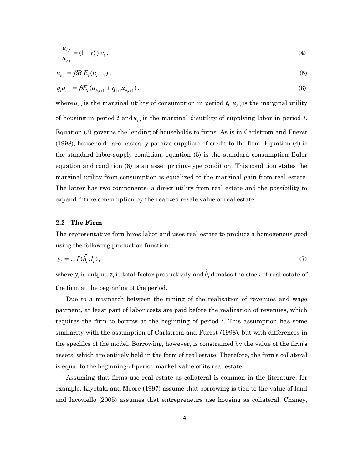$$
-\frac{u_{l,t}}{u_{c,t}} = (1 - \tau_t^l)w_t,
$$
\n(4)

$$
u_{c,t} = \beta R_t E_t(u_{c,t+1}), \qquad (5)
$$

$$
q_{t}u_{c,t} = \beta E_t (u_{h,t+1} + q_{t+1}u_{c,t+1}),
$$
\n(6)

where  $u_{c,t}$  is the marginal utility of consumption in period *t,*  $u_{h,t}$  is the marginal utility of housing in period  $t$  and  $u_{i,t}$  is the marginal disutility of supplying labor in period  $t$ . Equation (3) governs the lending of households to firms. As is in Carlstrom and Fuerst (1998), households are basically passive suppliers of credit to the firm. Equation (4) is the standard labor-supply condition, equation (5) is the standard consumption Euler equation and condition (6) is an asset pricing-type condition. This condition states the marginal utility from consumption is equalized to the marginal gain from real estate. The latter has two components- a direct utility from real estate and the possibility to expand future consumption by the realized resale value of real estate.

## **2.2 The Firm**

The representative firm hires labor and uses real estate to produce a homogenous good using the following production function:

$$
y_t = z_t f(\tilde{h}_t, l_t), \tag{7}
$$

where  $y_t$  is output,  $z_t$  is total factor productivity and  $\widetilde{h}_t$  denotes the stock of real estate of the firm at the beginning of the period.

Due to a mismatch between the timing of the realization of revenues and wage payment, at least part of labor costs are paid before the realization of revenues, which requires the firm to borrow at the beginning of period *t*. This assumption has some similarity with the assumption of Carlstrom and Fuerst (1998), but with differences in the specifics of the model. Borrowing, however, is constrained by the value of the firm's assets, which are entirely held in the form of real estate. Therefore, the firm's collateral is equal to the beginning-of-period market value of its real estate.

Assuming that firms use real estate as collateral is common in the literature: for example, Kiyotaki and Moore (1997) assume that borrowing is tied to the value of land and Iacoviello (2005) assumes that entrepreneurs use housing as collateral. Chaney,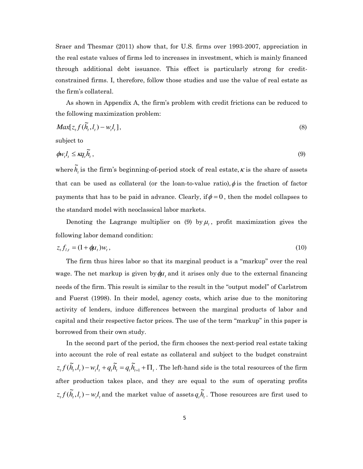Sraer and Thesmar (2011) show that, for U.S. firms over 1993-2007, appreciation in the real estate values of firms led to increases in investment, which is mainly financed through additional debt issuance. This effect is particularly strong for creditconstrained firms. I, therefore, follow those studies and use the value of real estate as the firm's collateral.

As shown in Appendix A, the firm's problem with credit frictions can be reduced to the following maximization problem:

$$
Max[z_t f(\tilde{h}_t, l_t) - w_t l_t],
$$
\n(8)

subject to

$$
\phi w_l l_t \le \kappa q_l \widetilde{h}_t,\tag{9}
$$

where  $\tilde{h}_i$  is the firm's beginning-of-period stock of real estate,  $\kappa$  is the share of assets that can be used as collateral (or the loan-to-value ratio),  $\phi$  is the fraction of factor payments that has to be paid in advance. Clearly, if  $\phi = 0$ , then the model collapses to the standard model with neoclassical labor markets.

Denoting the Lagrange multiplier on  $(9)$  by  $\mu_t$ , profit maximization gives the following labor demand condition:

$$
z_t f_{l,t} = (1 + \phi u_t) w_t, \tag{10}
$$

The firm thus hires labor so that its marginal product is a "markup" over the real wage. The net markup is given by  $\phi\mu$ , and it arises only due to the external financing needs of the firm. This result is similar to the result in the "output model" of Carlstrom and Fuerst (1998). In their model, agency costs, which arise due to the monitoring activity of lenders, induce differences between the marginal products of labor and capital and their respective factor prices. The use of the term "markup" in this paper is borrowed from their own study.

In the second part of the period, the firm chooses the next-period real estate taking into account the role of real estate as collateral and subject to the budget constraint  $z_t f(\tilde{h}_t, l_t) - w_t l_t + q_t \tilde{h}_t = q_t \tilde{h}_{t+1} + \Pi_t$ . The left-hand side is the total resources of the firm after production takes place, and they are equal to the sum of operating profits  $z_t f(\tilde{h}_t, l_t) - w_t l_t$  and the market value of assets  $q_t \tilde{h}_t$ . Those resources are first used to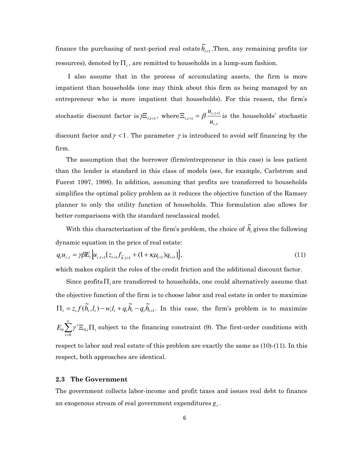finance the purchasing of next-period real estate  $h_{_{t+1}}$  $\tilde{i}$ *t h* .Then, any remaining profits (or resources), denoted by  $\Pi_t$ , are remitted to households in a lump-sum fashion.

 I also assume that in the process of accumulating assets, the firm is more impatient than households (one may think about this firm as being managed by an entrepreneur who is more impatient that households). For this reason, the firm's stochastic discount factor is  $\chi \equiv_{t,t+1}$ , where *tc tc*  $u_{t,t+1} - \mu$ <br>*u u* ,  $,t+1$  $\Xi_{t,t+1} = \beta \frac{u_{c,t+1}}{u_{c,t+1}}$  is the households' stochastic discount factor and  $\gamma < 1$ . The parameter  $\gamma$  is introduced to avoid self financing by the firm.

The assumption that the borrower (firm/entrepreneur in this case) is less patient than the lender is standard in this class of models (see, for example, Carlstrom and Fuerst 1997, 1998). In addition, assuming that profits are transferred to households simplifies the optimal policy problem as it reduces the objective function of the Ramsey planner to only the utility function of households. This formulation also allows for better comparisons with the standard neoclassical model.

With this characterization of the firm's problem, the choice of  $\widetilde{h}_t$  gives the following dynamic equation in the price of real estate:

$$
q_t u_{c,t} = \gamma \beta E_t \Big[ u_{c,t+1} \big[ z_{t+1} f_{\tilde{h},t+1} + (1 + \kappa \mu_{t+1}) q_{t+1} \big] \Big], \tag{11}
$$

which makes explicit the roles of the credit friction and the additional discount factor.

Since profits  $\Pi_{\iota}$  are transferred to households, one could alternatively assume that the objective function of the firm is to choose labor and real estate in order to maximize 1  $\Pi_t = z_t f(\tilde{h}_t, l_t) - w_t l_t + q_t \tilde{h}_t - q_t \tilde{h}_{t+1}$ . In this case, the firm's problem is to maximize  $\sum^{\infty}$  $=$  $E_0 \sum \gamma^t \Xi_{0,t} \Pi_t$  subject to the financing constraint (9). The first-order conditions with 0 *t* respect to labor and real estate of this problem are exactly the same as (10)-(11). In this respect, both approaches are identical.

#### **2.3 The Government**

The government collects labor-income and profit taxes and issues real debt to finance an exogenous stream of real government expenditures  $g_i$ .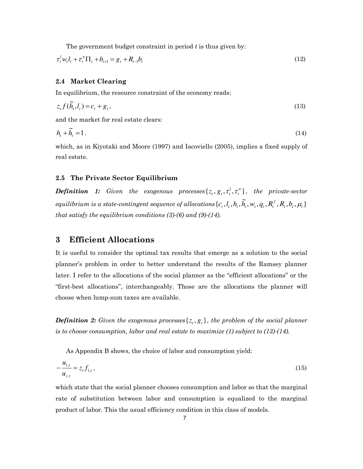The government budget constraint in period *t* is thus given by:

$$
\tau_t^l w_t l_t + \tau_t^{\pi} \Pi_t + b_{t+1} = g_t + R_{t-1} b_t \tag{12}
$$

#### **2.4 Market Clearing**

In equilibrium, the resource constraint of the economy reads:

$$
z_t f(\tilde{h}_t, l_t) = c_t + g_t,\tag{13}
$$

and the market for real estate clears:

$$
h_t + \widetilde{h}_t = 1. \tag{14}
$$

which, as in Kiyotaki and Moore (1997) and Iacoviello (2005), implies a fixed supply of real estate.

#### **2.5 The Private Sector Equilibrium**

**Definition 1:** Given the exogenous processes  $\{z_t, g_t, \tau_t^l, \tau_t^{\pi}\}$  $z_t, g_t, \tau_t^l, \tau_t^{\pi}$ , the private-sector *equilibrium is a state-contingent sequence of allocations*  $\{c_{_t}, l_{_t}, h_{_t}, \widetilde{h}_{_t}, w_{_t}, q_{_t}, R_t^f, R_t, b_t, \mu_t\}$  $c_t$ ,  $l_t$ ,  $h_t$ ,  $\widetilde{h}_t$ ,  $w_t$ ,  $q_t$ ,  $R_t^f$ ,  $R_t$ ,  $b_t$ ,  $\mu_t$ *that satisfy the equilibrium conditions (3)-(6) and (9)-(14).* 

## **3 Efficient Allocations**

It is useful to consider the optimal tax results that emerge as a solution to the social planner's problem in order to better understand the results of the Ramsey planner later. I refer to the allocations of the social planner as the "efficient allocations" or the "first-best allocations", interchangeably. Those are the allocations the planner will choose when lump-sum taxes are available.

*Definition 2:* Given the exogenous processes $\{z_t, g_t\}$ , the problem of the social planner *is to choose consumption, labor and real estate to maximize (1) subject to (13)-(14).* 

As Appendix B shows, the choice of labor and consumption yield:

$$
-\frac{u_{l,t}}{u_{c,t}} = z_t f_{l,t},
$$
\n(15)

which state that the social planner chooses consumption and labor so that the marginal rate of substitution between labor and consumption is equalized to the marginal product of labor. This the usual efficiency condition in this class of models.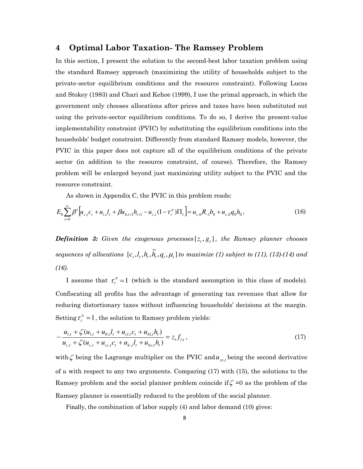## **4 Optimal Labor Taxation- The Ramsey Problem**

In this section, I present the solution to the second-best labor taxation problem using the standard Ramsey approach (maximizing the utility of households subject to the private-sector equilibrium conditions and the resource constraint). Following Lucas and Stokey (1983) and Chari and Kehoe (1999), I use the primal approach, in which the government only chooses allocations after prices and taxes have been substituted out using the private-sector equilibrium conditions. To do so, I derive the present-value implementability constraint (PVIC) by substituting the equilibrium conditions into the households' budget constraint. Differently from standard Ramsey models, however, the PVIC in this paper does not capture all of the equilibrium conditions of the private sector (in addition to the resource constraint, of course). Therefore, the Ramsey problem will be enlarged beyond just maximizing utility subject to the PVIC and the resource constraint.

As shown in Appendix C, the PVIC in this problem reads:

$$
E_0 \sum_{t=0}^{\infty} \beta^t \Big[ u_{c,t} c_t + u_{l,t} l_t + \beta u_{h,t+1} h_{t+1} - u_{c,t} (1 - \tau_t^{\pi}) \Pi_t \Big] = u_{c,0} R_{-1} b_0 + u_{c,0} q_0 h_0,
$$
\n(16)

**Definition 3:** Given the exogenous processes $\{z_t, g_t\}$ , the Ramsey planner chooses  ${sequence of all locations  $\{c_{_t}, l_{_t}, h_{_t}, \widetilde{h}_{_t}, q_{_t}, \mu_{_t}\}}$  to maximize (1) subject to (11), (13)-(14) and$ *(16).* 

I assume that  $\tau_t^{\pi} = 1$  (which is the standard assumption in this class of models). Confiscating all profits has the advantage of generating tax revenues that allow for reducing distortionary taxes without influencing households' decisions at the margin. Setting  $\tau_t^{\pi} = 1$ , the solution to Ramsey problem yields:

$$
-\frac{u_{l,t} + \zeta (u_{l,t} + u_{ll,t}l_t + u_{cl,t}c_t + u_{hl,t}h_t)}{u_{c,t} + \zeta (u_{c,t} + u_{cc,t}c_t + u_{lc,t}l_t + u_{hc,t}h_t)} = z_t f_{l,t},
$$
\n(17)

with  $\zeta$  being the Lagrange multiplier on the PVIC and  $u_{xy,t}$  being the second derivative of *u* with respect to any two arguments. Comparing (17) with (15), the solutions to the Ramsey problem and the social planner problem coincide if  $\zeta = 0$  as the problem of the Ramsey planner is essentially reduced to the problem of the social planner.

Finally, the combination of labor supply (4) and labor demand (10) gives: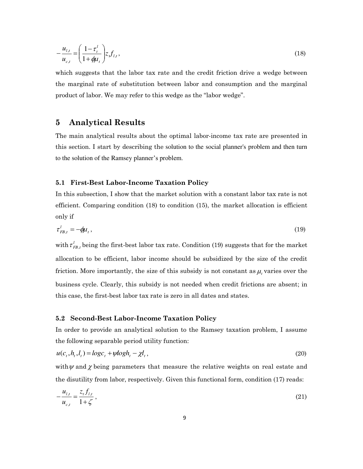$$
-\frac{u_{l,t}}{u_{c,t}} = \left(\frac{1-\tau_l^l}{1+\phi\mu_t}\right)z_i f_{l,t},
$$
\n(18)

which suggests that the labor tax rate and the credit friction drive a wedge between the marginal rate of substitution between labor and consumption and the marginal product of labor. We may refer to this wedge as the "labor wedge".

## **5 Analytical Results**

The main analytical results about the optimal labor-income tax rate are presented in this section. I start by describing the solution to the social planner's problem and then turn to the solution of the Ramsey planner's problem.

#### **5.1 First-Best Labor-Income Taxation Policy**

In this subsection, I show that the market solution with a constant labor tax rate is not efficient. Comparing condition (18) to condition (15), the market allocation is efficient only if

$$
\tau_{FB,t}^l = -\phi \mu_t, \qquad (19)
$$

with  $\tau_{FB,t}^l$  being the first-best labor tax rate. Condition (19) suggests that for the market allocation to be efficient, labor income should be subsidized by the size of the credit friction. More importantly, the size of this subsidy is not constant as  $\mu_t$  varies over the business cycle. Clearly, this subsidy is not needed when credit frictions are absent; in this case, the first-best labor tax rate is zero in all dates and states.

#### **5.2 Second-Best Labor-Income Taxation Policy**

In order to provide an analytical solution to the Ramsey taxation problem, I assume the following separable period utility function:

$$
u(c_t, h_t, l_t) = log c_t + \psi log h_t - \chi l_t,
$$
\n
$$
(20)
$$

with  $\psi$  and  $\chi$  being parameters that measure the relative weights on real estate and the disutility from labor, respectively. Given this functional form, condition (17) reads:

$$
-\frac{u_{l,t}}{u_{c,t}} = \frac{z_t f_{l,t}}{1+\zeta},
$$
\n(21)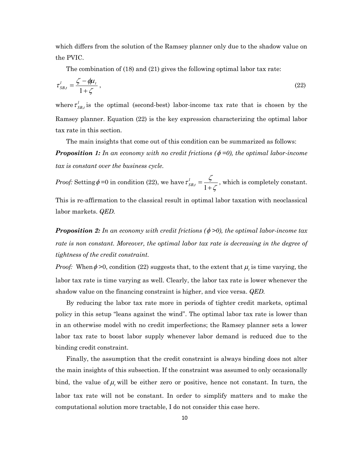which differs from the solution of the Ramsey planner only due to the shadow value on the PVIC.

The combination of (18) and (21) gives the following optimal labor tax rate:

$$
\tau_{SB,t}^l = \frac{\zeta - \phi \mu_t}{1 + \zeta} \,,\tag{22}
$$

where  $\tau_{SB,t}^l$  is the optimal (second-best) labor-income tax rate that is chosen by the Ramsey planner. Equation (22) is the key expression characterizing the optimal labor tax rate in this section.

The main insights that come out of this condition can be summarized as follows: *Proposition 1:* In an economy with no credit frictions ( $\phi = 0$ ), the optimal labor-income *tax is constant over the business cycle.* 

*Proof:* Setting  $\phi$  =0 in condition (22), we have  $\zeta$  $\tau_{SB,t}^l = \frac{\zeta}{1 + \zeta}$  $=$  $n^{t-1}$ *l*  $S_{B,t} = \frac{5}{1+\epsilon}$ , which is completely constant.

This is re-affirmation to the classical result in optimal labor taxation with neoclassical labor markets. *QED.*

*Proposition 2: In an economy with credit frictions (* $\phi > 0$ *), the optimal labor-income tax* rate is non constant. Moreover, the optimal labor tax rate is decreasing in the degree of *tightness of the credit constraint.* 

*Proof:* When  $\phi > 0$ , condition (22) suggests that, to the extent that  $\mu_t$  is time varying, the labor tax rate is time varying as well. Clearly, the labor tax rate is lower whenever the shadow value on the financing constraint is higher, and vice versa. *QED.*

By reducing the labor tax rate more in periods of tighter credit markets, optimal policy in this setup "leans against the wind". The optimal labor tax rate is lower than in an otherwise model with no credit imperfections; the Ramsey planner sets a lower labor tax rate to boost labor supply whenever labor demand is reduced due to the binding credit constraint.

Finally, the assumption that the credit constraint is always binding does not alter the main insights of this subsection. If the constraint was assumed to only occasionally bind, the value of  $\mu_t$  will be either zero or positive, hence not constant. In turn, the labor tax rate will not be constant. In order to simplify matters and to make the computational solution more tractable, I do not consider this case here.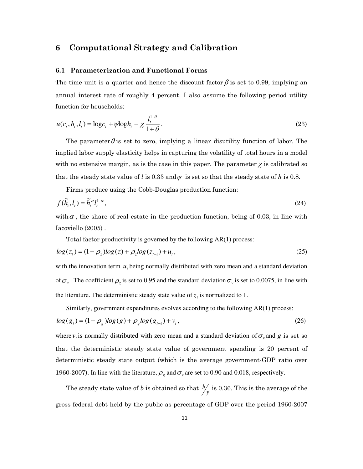## **6 Computational Strategy and Calibration**

#### **6.1 Parameterization and Functional Forms**

The time unit is a quarter and hence the discount factor  $\beta$  is set to 0.99, implying an annual interest rate of roughly 4 percent. I also assume the following period utility function for households:

$$
u(c_t, h_t, l_t) = \log c_t + \psi \log h_t - \chi \frac{l_t^{1+\theta}}{1+\theta}.
$$
\n(23)

The parameter  $\theta$  is set to zero, implying a linear disutility function of labor. The implied labor supply elasticity helps in capturing the volatility of total hours in a model with no extensive margin, as is the case in this paper. The parameter  $\chi$  is calibrated so that the steady state value of *l* is 0.33 and  $\psi$  is set so that the steady state of *h* is 0.8.

Firms produce using the Cobb-Douglas production function:

$$
f(\tilde{h}_t, l_t) = \tilde{h}_t^{\alpha} l_t^{1-\alpha},\tag{24}
$$

with  $\alpha$ , the share of real estate in the production function, being of 0.03, in line with Iacoviello (2005) .

Total factor productivity is governed by the following AR(1) process:

$$
log(zt) = (1 - \rhoz)log(z) + \rhozlog(zt-1) + ut,
$$
\n(25)

with the innovation term  $u_i$ , being normally distributed with zero mean and a standard deviation of  $\sigma_u$ . The coefficient  $\rho_z$  is set to 0.95 and the standard deviation  $\sigma_v$  is set to 0.0075, in line with the literature. The deterministic steady state value of  $z_t$  is normalized to 1.

Similarly, government expenditures evolves according to the following AR(1) process:

$$
log(gt) = (1 - \rhog)log(g) + \rhoglog(gt-1) + vt,
$$
\n(26)

where  $v_t$  is normally distributed with zero mean and a standard deviation of  $\sigma_v$  and g is set so that the deterministic steady state value of government spending is 20 percent of deterministic steady state output (which is the average government-GDP ratio over 1960-2007). In line with the literature,  $\rho_{\rm g}$  and  $\sigma_{\rm v}$  are set to 0.90 and 0.018, respectively.

The steady state value of *b* is obtained so that  $\frac{b}{y}$  is 0.36. This is the average of the gross federal debt held by the public as percentage of GDP over the period 1960-2007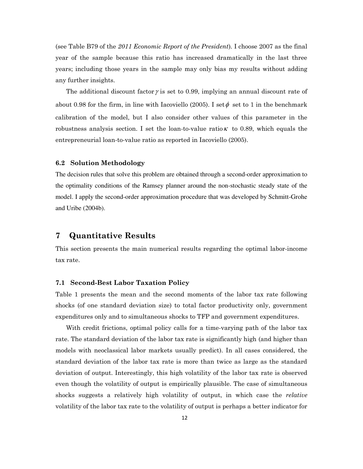(see Table B79 of the *2011 Economic Report of the President*)*.* I choose 2007 as the final year of the sample because this ratio has increased dramatically in the last three years; including those years in the sample may only bias my results without adding any further insights.

The additional discount factor  $\gamma$  is set to 0.99, implying an annual discount rate of about 0.98 for the firm, in line with Iacoviello (2005). I set  $\phi$  set to 1 in the benchmark calibration of the model, but I also consider other values of this parameter in the robustness analysis section. I set the loan-to-value ratio  $\kappa$  to 0.89, which equals the entrepreneurial loan-to-value ratio as reported in Iacoviello (2005).

#### **6.2 Solution Methodology**

The decision rules that solve this problem are obtained through a second-order approximation to the optimality conditions of the Ramsey planner around the non-stochastic steady state of the model. I apply the second-order approximation procedure that was developed by Schmitt-Grohe and Uribe (2004b).

## **7 Quantitative Results**

This section presents the main numerical results regarding the optimal labor-income tax rate.

#### **7.1 Second-Best Labor Taxation Policy**

Table 1 presents the mean and the second moments of the labor tax rate following shocks (of one standard deviation size) to total factor productivity only, government expenditures only and to simultaneous shocks to TFP and government expenditures.

With credit frictions, optimal policy calls for a time-varying path of the labor tax rate. The standard deviation of the labor tax rate is significantly high (and higher than models with neoclassical labor markets usually predict). In all cases considered, the standard deviation of the labor tax rate is more than twice as large as the standard deviation of output. Interestingly, this high volatility of the labor tax rate is observed even though the volatility of output is empirically plausible. The case of simultaneous shocks suggests a relatively high volatility of output, in which case the *relative* volatility of the labor tax rate to the volatility of output is perhaps a better indicator for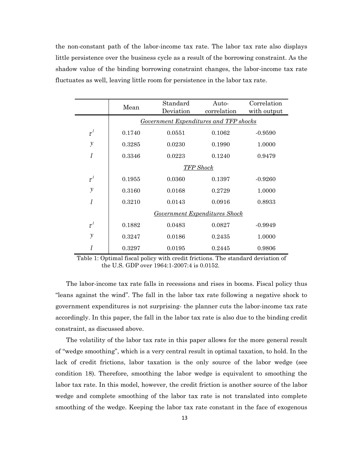the non-constant path of the labor-income tax rate. The labor tax rate also displays little persistence over the business cycle as a result of the borrowing constraint. As the shadow value of the binding borrowing constraint changes, the labor-income tax rate fluctuates as well, leaving little room for persistence in the labor tax rate.

|          |                                               | Standard  | Auto-       | Correlation |  |
|----------|-----------------------------------------------|-----------|-------------|-------------|--|
|          | Mean                                          | Deviation | correlation | with output |  |
|          | <b>Government Expenditures and TFP shocks</b> |           |             |             |  |
| $\tau^l$ | 0.1740                                        | 0.0551    | 0.1062      | $-0.9590$   |  |
| y        | 0.3285                                        | 0.0230    | 0.1990      | 1.0000      |  |
| l        | 0.3346                                        | 0.0223    | 0.1240      | 0.9479      |  |
|          | <b>TFP</b> Shock                              |           |             |             |  |
| $\tau^l$ | 0.1955                                        | 0.0360    | 0.1397      | $-0.9260$   |  |
| y        | 0.3160                                        | 0.0168    | 0.2729      | 1.0000      |  |
| l        | 0.3210                                        | 0.0143    | 0.0916      | 0.8933      |  |
|          | <b>Government Expenditures Shock</b>          |           |             |             |  |
| $\tau^l$ | 0.1882                                        | 0.0483    | 0.0827      | $-0.9949$   |  |
| y        | 0.3247                                        | 0.0186    | 0.2435      | 1.0000      |  |
|          | 0.3297                                        | 0.0195    | 0.2445      | 0.9806      |  |

Table 1: Optimal fiscal policy with credit frictions. The standard deviation of the U.S. GDP over 1964:1-2007:4 is 0.0152.

The labor-income tax rate falls in recessions and rises in booms. Fiscal policy thus "leans against the wind". The fall in the labor tax rate following a negative shock to government expenditures is not surprising- the planner cuts the labor-income tax rate accordingly. In this paper, the fall in the labor tax rate is also due to the binding credit constraint, as discussed above.

The volatility of the labor tax rate in this paper allows for the more general result of "wedge smoothing", which is a very central result in optimal taxation, to hold. In the lack of credit frictions, labor taxation is the only source of the labor wedge (see condition 18). Therefore, smoothing the labor wedge is equivalent to smoothing the labor tax rate. In this model, however, the credit friction is another source of the labor wedge and complete smoothing of the labor tax rate is not translated into complete smoothing of the wedge. Keeping the labor tax rate constant in the face of exogenous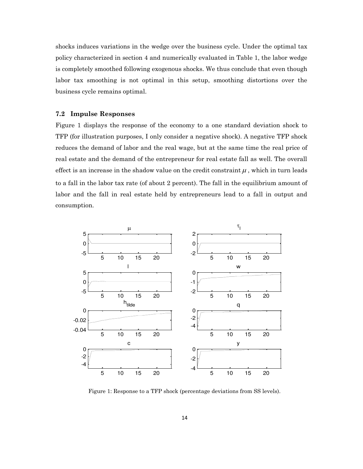shocks induces variations in the wedge over the business cycle. Under the optimal tax policy characterized in section 4 and numerically evaluated in Table 1, the labor wedge is completely smoothed following exogenous shocks. We thus conclude that even though labor tax smoothing is not optimal in this setup, smoothing distortions over the business cycle remains optimal.

#### **7.2 Impulse Responses**

Figure 1 displays the response of the economy to a one standard deviation shock to TFP (for illustration purposes, I only consider a negative shock). A negative TFP shock reduces the demand of labor and the real wage, but at the same time the real price of real estate and the demand of the entrepreneur for real estate fall as well. The overall effect is an increase in the shadow value on the credit constraint  $\mu$ , which in turn leads to a fall in the labor tax rate (of about 2 percent). The fall in the equilibrium amount of labor and the fall in real estate held by entrepreneurs lead to a fall in output and consumption.



Figure 1: Response to a TFP shock (percentage deviations from SS levels).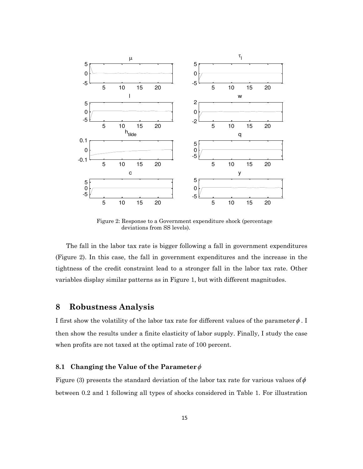

Figure 2: Response to a Government expenditure shock (percentage deviations from SS levels).

The fall in the labor tax rate is bigger following a fall in government expenditures (Figure 2). In this case, the fall in government expenditures and the increase in the tightness of the credit constraint lead to a stronger fall in the labor tax rate. Other variables display similar patterns as in Figure 1, but with different magnitudes.

# **8 Robustness Analysis**

I first show the volatility of the labor tax rate for different values of the parameter  $\phi$ . I then show the results under a finite elasticity of labor supply. Finally, I study the case when profits are not taxed at the optimal rate of 100 percent.

#### **8.1 Changing the Value of the Parameter**

Figure (3) presents the standard deviation of the labor tax rate for various values of  $\phi$ between 0.2 and 1 following all types of shocks considered in Table 1. For illustration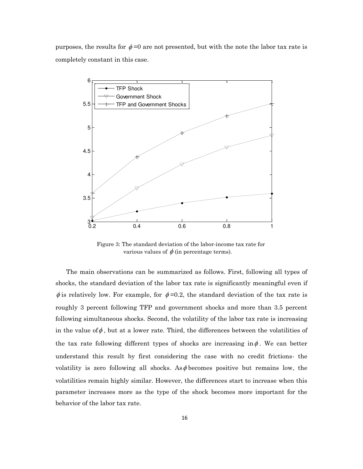purposes, the results for  $\phi = 0$  are not presented, but with the note the labor tax rate is completely constant in this case.



 Figure 3: The standard deviation of the labor-income tax rate for various values of  $\phi$  (in percentage terms).

The main observations can be summarized as follows. First, following all types of shocks, the standard deviation of the labor tax rate is significantly meaningful even if  $\phi$  is relatively low. For example, for  $\phi$  =0.2, the standard deviation of the tax rate is roughly 3 percent following TFP and government shocks and more than 3.5 percent following simultaneous shocks. Second, the volatility of the labor tax rate is increasing in the value of  $\phi$ , but at a lower rate. Third, the differences between the volatilities of the tax rate following different types of shocks are increasing in  $\phi$ . We can better understand this result by first considering the case with no credit frictions- the volatility is zero following all shocks. As  $\phi$  becomes positive but remains low, the volatilities remain highly similar. However, the differences start to increase when this parameter increases more as the type of the shock becomes more important for the behavior of the labor tax rate.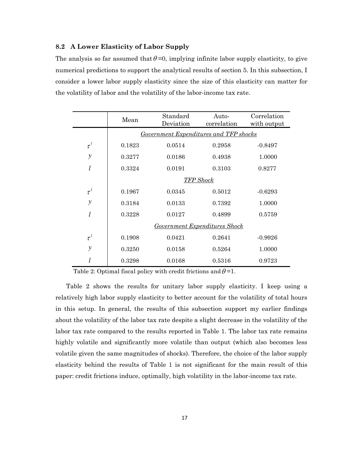#### **8.2 A Lower Elasticity of Labor Supply**

The analysis so far assumed that  $\theta = 0$ , implying infinite labor supply elasticity, to give numerical predictions to support the analytical results of section 5. In this subsection, I consider a lower labor supply elasticity since the size of this elasticity can matter for the volatility of labor and the volatility of the labor-income tax rate.

|               | Mean                                          | Standard<br>Deviation | Auto-<br>correlation | Correlation<br>with output |  |
|---------------|-----------------------------------------------|-----------------------|----------------------|----------------------------|--|
|               | <b>Government Expenditures and TFP shocks</b> |                       |                      |                            |  |
| $\tau^l$      | 0.1823                                        | 0.0514                | 0.2958               | $-0.8497$                  |  |
| $\mathcal{Y}$ | 0.3277                                        | 0.0186                | 0.4938               | 1.0000                     |  |
| l             | 0.3324                                        | 0.0191                | 0.3103               | 0.8277                     |  |
|               | <b>TFP</b> Shock                              |                       |                      |                            |  |
| $\tau^l$      | 0.1967                                        | 0.0345                | 0.5012               | $-0.6293$                  |  |
| y             | 0.3184                                        | 0.0133                | 0.7392               | 1.0000                     |  |
|               | 0.3228                                        | 0.0127                | 0.4899               | 0.5759                     |  |
|               | Government Expenditures Shock                 |                       |                      |                            |  |
| $\tau^l$      | 0.1908                                        | 0.0421                | 0.2641               | $-0.9926$                  |  |
| y             | 0.3250                                        | 0.0158                | 0.5264               | 1.0000                     |  |
|               | 0.3298                                        | 0.0168                | 0.5316               | 0.9723                     |  |

Table 2: Optimal fiscal policy with credit frictions and  $\theta = 1$ .

Table 2 shows the results for unitary labor supply elasticity. I keep using a relatively high labor supply elasticity to better account for the volatility of total hours in this setup. In general, the results of this subsection support my earlier findings about the volatility of the labor tax rate despite a slight decrease in the volatility of the labor tax rate compared to the results reported in Table 1. The labor tax rate remains highly volatile and significantly more volatile than output (which also becomes less volatile given the same magnitudes of shocks). Therefore, the choice of the labor supply elasticity behind the results of Table 1 is not significant for the main result of this paper: credit frictions induce, optimally, high volatility in the labor-income tax rate.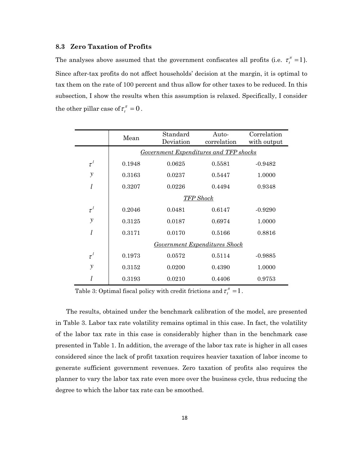#### **8.3 Zero Taxation of Profits**

The analyses above assumed that the government confiscates all profits (i.e.  $\tau_i^{\pi} = 1$ ). Since after-tax profits do not affect households' decision at the margin, it is optimal to tax them on the rate of 100 percent and thus allow for other taxes to be reduced. In this subsection, I show the results when this assumption is relaxed. Specifically, I consider the other pillar case of  $\tau_i^{\pi} = 0$ .

|               | Mean                                   | Standard<br>Deviation | Auto-<br>correlation | Correlation<br>with output |  |
|---------------|----------------------------------------|-----------------------|----------------------|----------------------------|--|
|               | Government Expenditures and TFP shocks |                       |                      |                            |  |
| $\tau^l$      | 0.1948                                 | 0.0625                | 0.5581               | $-0.9482$                  |  |
| $\mathcal{Y}$ | 0.3163                                 | 0.0237                | 0.5447               | 1.0000                     |  |
| l             | 0.3207                                 | 0.0226                | 0.4494               | 0.9348                     |  |
|               | <b>TFP</b> Shock                       |                       |                      |                            |  |
| $\tau^l$      | 0.2046                                 | 0.0481                | 0.6147               | $-0.9290$                  |  |
| y             | 0.3125                                 | 0.0187                | 0.6974               | 1.0000                     |  |
| l             | 0.3171                                 | 0.0170                | 0.5166               | 0.8816                     |  |
|               | <b>Government Expenditures Shock</b>   |                       |                      |                            |  |
| $\tau^l$      | 0.1973                                 | 0.0572                | 0.5114               | $-0.9885$                  |  |
| y             | 0.3152                                 | 0.0200                | 0.4390               | 1.0000                     |  |
|               | 0.3193                                 | 0.0210                | 0.4406               | 0.9753                     |  |

Table 3: Optimal fiscal policy with credit frictions and  $\tau_t^{\pi} = 1$ .

The results, obtained under the benchmark calibration of the model, are presented in Table 3. Labor tax rate volatility remains optimal in this case. In fact, the volatility of the labor tax rate in this case is considerably higher than in the benchmark case presented in Table 1. In addition, the average of the labor tax rate is higher in all cases considered since the lack of profit taxation requires heavier taxation of labor income to generate sufficient government revenues. Zero taxation of profits also requires the planner to vary the labor tax rate even more over the business cycle, thus reducing the degree to which the labor tax rate can be smoothed.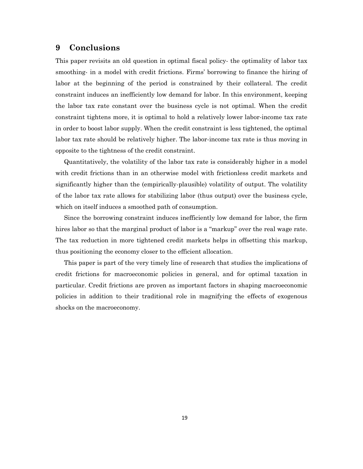## **9 Conclusions**

This paper revisits an old question in optimal fiscal policy- the optimality of labor tax smoothing- in a model with credit frictions. Firms' borrowing to finance the hiring of labor at the beginning of the period is constrained by their collateral. The credit constraint induces an inefficiently low demand for labor. In this environment, keeping the labor tax rate constant over the business cycle is not optimal. When the credit constraint tightens more, it is optimal to hold a relatively lower labor-income tax rate in order to boost labor supply. When the credit constraint is less tightened, the optimal labor tax rate should be relatively higher. The labor-income tax rate is thus moving in opposite to the tightness of the credit constraint.

Quantitatively, the volatility of the labor tax rate is considerably higher in a model with credit frictions than in an otherwise model with frictionless credit markets and significantly higher than the (empirically-plausible) volatility of output. The volatility of the labor tax rate allows for stabilizing labor (thus output) over the business cycle, which on itself induces a smoothed path of consumption.

Since the borrowing constraint induces inefficiently low demand for labor, the firm hires labor so that the marginal product of labor is a "markup" over the real wage rate. The tax reduction in more tightened credit markets helps in offsetting this markup, thus positioning the economy closer to the efficient allocation.

This paper is part of the very timely line of research that studies the implications of credit frictions for macroeconomic policies in general, and for optimal taxation in particular. Credit frictions are proven as important factors in shaping macroeconomic policies in addition to their traditional role in magnifying the effects of exogenous shocks on the macroeconomy.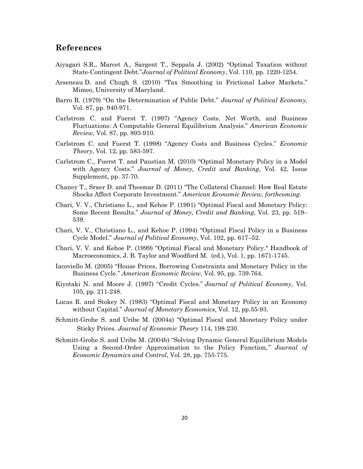## **References**

- Aiyagari S.R., Marcet A., Sargent T., Seppala J. (2002) "Optimal Taxation without State-Contingent Debt."*Journal of Political Economy*, Vol. 110, pp. 1220-1254.
- Arseneau D. and Chugh S. (2010) "Tax Smoothing in Frictional Labor Markets." Mimeo, University of Maryland.
- Barro R. (1979) "On the Determination of Public Debt." *Journal of Political Economy,*  Vol. 87, pp. 940-971.
- Carlstrom C. and Fuerst T. (1997) "Agency Costs, Net Worth, and Business Fluctuations: A Computable General Equilibrium Analysis." *American Economic Review*, Vol. 87, pp. 893-910.
- Carlstrom C. and Fuerst T. (1998) "Agency Costs and Business Cycles." *Economic Theory*, Vol. 12, pp. 583-597.
- Carlstrom C., Fuerst T. and Paustian M. (2010) "Optimal Monetary Policy in a Model with Agency Costs." *Journal of Money, Credit and Banking*, Vol. 42, Issue Supplement, pp. 37-70.
- Chaney T., Sraer D. and Thesmar D. (2011) "The Collateral Channel: How Real Estate Shocks Affect Corporate Investment." *American Economic Review, forthcoming.*
- Chari, V. V., Christiano L., and Kehoe P. (1991) "Optimal Fiscal and Monetary Policy: Some Recent Results." *Journal of Money, Credit and Banking*, Vol. 23, pp. 519– 539.
- Chari, V. V., Christiano L., and Kehoe P. (1994) "Optimal Fiscal Policy in a Business Cycle Model." *Journal of Political Economy*, Vol. 102, pp. 617–52.
- Chari, V. V. and Kehoe P. (1999) "Optimal Fiscal and Monetary Policy." Handbook of Macroeconomics, J. B. Taylor and Woodford M. (ed.), Vol. 1, pp. 1671-1745.
- Iacoviello M. (2005) "House Prices, Borrowing Constraints and Monetary Policy in the Business Cycle." *American Economic Review*, Vol. 95, pp. 739-764.
- Kiyotaki N. and Moore J. (1997) "Credit Cycles." *Journal of Political Economy*, Vol. 105, pp. 211-248.
- Lucas R. and Stokey N. (1983) "Optimal Fiscal and Monetary Policy in an Economy without Capital." *Journal of Monetary Economics*, Vol. 12, pp.55-93.
- Schmitt-Grohe S. and Uribe M. (2004a) "Optimal Fiscal and Monetary Policy under Sticky Prices. *Journal of Economic Theory* 114, 198-230.
- Schmitt-Grohe S. and Uribe M. (2004b) "Solving Dynamic General Equilibrium Models Using a Second-Order Approximation to the Policy Function*," Journal of Economic Dynamics and Control*, Vol. 28, pp. 755-775.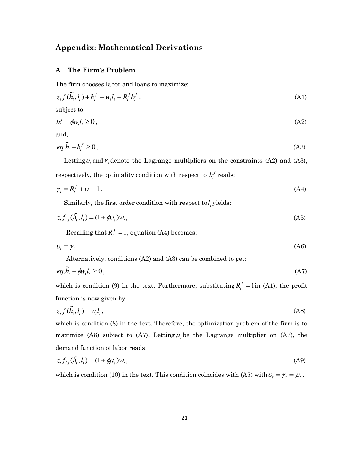# **Appendix: Mathematical Derivations**

#### **A The Firm's Problem**

The firm chooses labor and loans to maximize:

$$
z_t f(\tilde{h}_t, l_t) + b_t^f - w_t l_t - R_t^f b_t^f, \qquad (A1)
$$

subject to

~

$$
b_t^f - \phi w_t l_t \ge 0 \tag{A2}
$$

and,

$$
\kappa q_t \widetilde{h}_t - b_t^f \ge 0 \,, \tag{A3}
$$

Letting  $\nu_t$  and  $\gamma_t$  denote the Lagrange multipliers on the constraints (A2) and (A3), respectively, the optimality condition with respect to  $b_t^f$  reads:

$$
\gamma_t = R_t^f + v_t - 1. \tag{A4}
$$

Similarly, the first order condition with respect to  $l_t$  yields:

$$
z_t f_{l,t}(\tilde{h}_t, l_t) = (1 + \phi v_t) w_t,\tag{A5}
$$

Recalling that  $R_t^f = 1$ , equation (A4) becomes:

$$
v_t = \gamma_t. \tag{A6}
$$

Alternatively, conditions (A2) and (A3) can be combined to get:

$$
\kappa q_t h_t - \phi w_t l_t \ge 0,\tag{A7}
$$

which is condition (9) in the text. Furthermore, substituting  $R_t^f = \lim_{h \to 0} (A_1)$ , the profit function is now given by:

$$
z_t f(\tilde{h}_t, l_t) - w_t l_t, \tag{A8}
$$

which is condition (8) in the text. Therefore, the optimization problem of the firm is to maximize (A8) subject to (A7). Letting  $\mu_t$  be the Lagrange multiplier on (A7), the demand function of labor reads:

$$
z_t f_{l,t}(\tilde{h}_t, l_t) = (1 + \phi \mu_t) w_t, \tag{A9}
$$

which is condition (10) in the text. This condition coincides with (A5) with  $\nu_t = \gamma_t = \mu_t$ .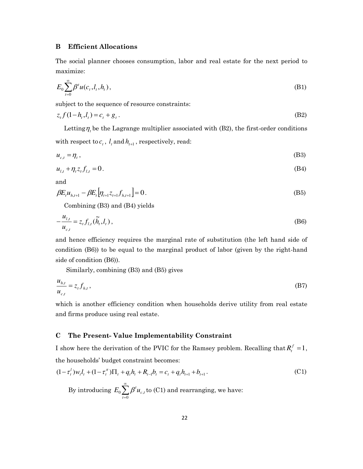#### **B Efficient Allocations**

The social planner chooses consumption, labor and real estate for the next period to maximize:

$$
E_0 \sum_{t=0}^{\infty} \beta^t u(c_t, l_t, h_t), \tag{B1}
$$

subject to the sequence of resource constraints:

$$
z_t f(1 - h_t, l_t) = c_t + g_t.
$$
 (B2)

Letting  $\eta_t$  be the Lagrange multiplier associated with (B2), the first-order conditions with respect to  $c_t$ ,  $l_t$  and  $h_{t+1}$ , respectively, read:

$$
u_{c,t} = \eta_t, \tag{B3}
$$

$$
u_{l,t} + \eta_t z_t f_{l,t} = 0.
$$
 (B4)

and

$$
\beta E_t u_{h,t+1} - \beta E_t \Big[ \eta_{t+1} z_{t+1} f_{h,t+1} \Big] = 0.
$$
\n(B5)

Combining (B3) and (B4) yields

$$
-\frac{u_{l,t}}{u_{c,t}} = z_t f_{l,t}(\tilde{h}_t, l_t),
$$
 (B6)

and hence efficiency requires the marginal rate of substitution (the left hand side of condition (B6)) to be equal to the marginal product of labor (given by the right-hand side of condition (B6)).

Similarly, combining (B3) and (B5) gives

$$
\frac{u_{h,t}}{u_{c,t}} = z_t f_{h,t},\tag{B7}
$$

which is another efficiency condition when households derive utility from real estate and firms produce using real estate.

#### **C The Present- Value Implementability Constraint**

I show here the derivation of the PVIC for the Ramsey problem. Recalling that  $R_t^f = 1$ , the households' budget constraint becomes:

$$
(1 - \tau_t^l) w_t l_t + (1 - \tau_t^{\pi}) \Pi_t + q_t h_t + R_{t-1} b_t = c_t + q_t h_{t+1} + b_{t+1}.
$$
\n
$$
\text{By introducing } E_0 \sum_{t=0}^{\infty} \beta^t u_{c,t} \text{ to (C1) and rearranging, we have:}
$$
\n
$$
(C1)
$$